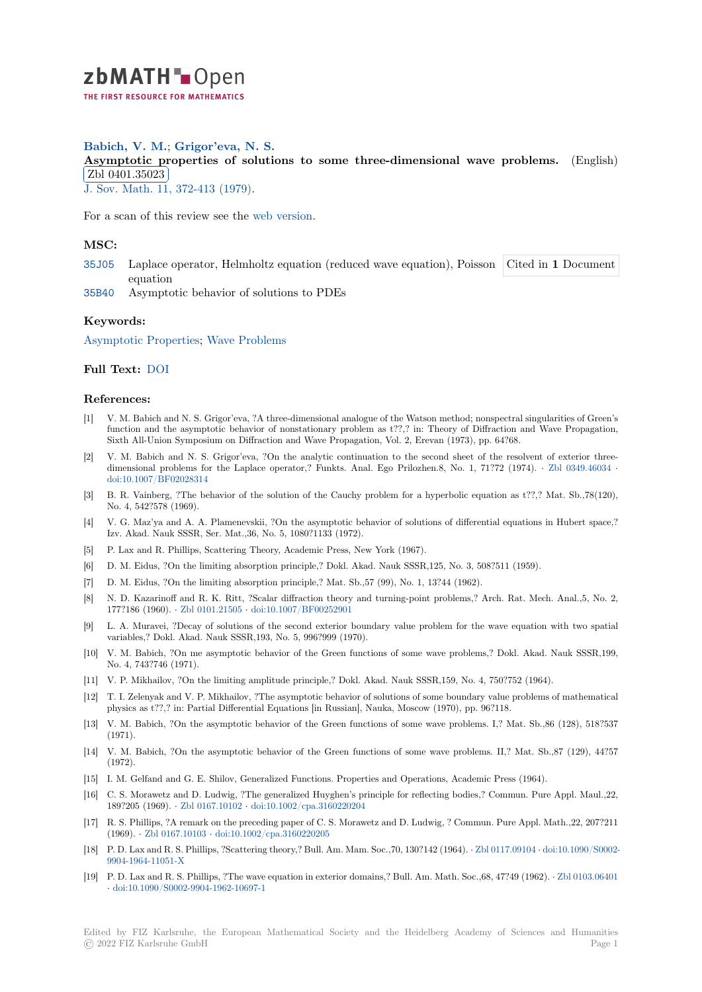

# **Babich, V. M.**; **Grigor'eva, N. S.**

[A](https://zbmath.org/)symptotic properties of solutions to some three-dimensional wave problems. (English) Zbl 0401.35023

✂ ✁ J. Sov. Math. 11, 372-413 (1979).

[For a scan of this review see the](https://zbmath.org/0401.35023) web version.

# **[MSC:](https://zbmath.org/journals/?q=se:522)**

- 35J05 Laplace operator, Helm[holtz equatio](https://zbmath.org/0401.35023)n (reduced wave equation), Poisson Cited in **1** Document equation
- 35B40 Asymptotic behavior of solutions to PDEs

#### **[Keyw](https://zbmath.org/classification/?q=cc:35J05)ords:**

[Asymp](https://zbmath.org/classification/?q=cc:35B40)totic Properties; Wave Problems

## **Full Text:** DOI

## **[References:](https://zbmath.org/?q=ut:Asymptotic+Properties)**

- [1] V. M. Babich and N. S. Grigor'eva, ?A three-dimensional analogue of the Watson method; nonspectral singularities of Green's function [and th](https://dx.doi.org/10.1007/BF01088745)e asymptotic behavior of nonstationary problem as t??,? in: Theory of Diffraction and Wave Propagation, Sixth All-Union Symposium on Diffraction and Wave Propagation, Vol. 2, Erevan (1973), pp. 64?68.
- [2] V. M. Babich and N. S. Grigor'eva, ?On the analytic continuation to the second sheet of the resolvent of exterior threedimensional problems for the Laplace operator,? Funkts. Anal. Ego Prilozhen.8, No. 1, 71?72 (1974). *·* Zbl 0349.46034 *·* doi:10.1007/BF02028314
- [3] B. R. Vainberg, ?The behavior of the solution of the Cauchy problem for a hyperbolic equation as t??,? Mat. Sb.,78(120), No. 4, 542?578 (1969).
- [4] V. G. Maz'ya and A. A. Plamenevskii, ?On the asymptotic behavior of solutions of differential equationsi[n Hubert space](https://zbmath.org/0349.46034),? [Izv. Akad. Nauk SSSR, S](https://dx.doi.org/10.1007/BF02028314)er. Mat.,36, No. 5, 1080?1133 (1972).
- [5] P. Lax and R. Phillips, Scattering Theory, Academic Press, New York (1967).
- [6] D. M. Eidus, ?On the limiting absorption principle,? Dokl. Akad. Nauk SSSR,125, No. 3, 508?511 (1959).
- [7] D. M. Eidus, ?On the limiting absorption principle,? Mat. Sb.,57 (99), No. 1, 13?44 (1962).
- [8] N. D. Kazarinoff and R. K. Ritt, ?Scalar diffraction theory and turning-point problems,? Arch. Rat. Mech. Anal.,5, No. 2, 177?186 (1960). *·* Zbl 0101.21505 *·* doi:10.1007/BF00252901
- [9] L. A. Muravei, ?Decay of solutions of the second exterior boundary value problem for the wave equation with two spatial variables,? Dokl. Akad. Nauk SSSR,193, No. 5, 996?999 (1970).
- [10] V. M. Babich, ?On me asymptotic behavior of the Green functions of some wave problems,? Dokl. Akad. Nauk SSSR,199, No. 4, 743?746 (1[971\).](https://zbmath.org/0101.21505)
- [11] V. P. Mikhailov, ?On the limiting amplitude principle,? Dokl. Akad. Nauk SSSR,159, No. 4, 750?752 (1964).
- [12] T. I. Zelenyak and V. P. Mikhailov, ?The asymptotic behavior of solutions of some boundary value problems of mathematical physics as t??,? in: Partial Differential Equations [in Russian], Nauka, Moscow (1970), pp. 96?118.
- [13] V. M. Babich, ?On the asymptotic behavior of the Green functions of some wave problems. I,? Mat. Sb.,86 (128), 518?537 (1971).
- [14] V. M. Babich, ?On the asymptotic behavior of the Green functions of some wave problems. II,? Mat. Sb.,87 (129), 44?57 (1972).
- [15] I. M. Gelfand and G. E. Shilov, Generalized Functions. Properties and Operations, Academic Press (1964).
- [16] C. S. Morawetz and D. Ludwig, ?The generalized Huyghen's principle for reflecting bodies,? Commun. Pure Appl. Maul.,22, 189?205 (1969). *·* Zbl 0167.10102 *·* doi:10.1002/cpa.3160220204
- [17] R. S. Phillips, ?A remark on the preceding paper of C. S. Morawetz and D. Ludwig, ? Commun. Pure Appl. Math.,22, 207?211 (1969). *·* Zbl 0167.10103 *·* doi:10.1002/cpa.3160220205
- [18] P. D. Lax and R. S. Phillips, ?Scattering theory,? Bull. Am. Mam. Soc.,70, 130?142 (1964). *·* Zbl 0117.09104 *·* doi:10.1090/S0002- 9904-1964-11051-[X](https://zbmath.org/0167.10102)
- [19] P. D. Lax and R. S. Phillips, ?The wave equation in exterior domains,? Bull. Am. Math. Soc.,68, 47?49 (1962). *·* Zbl 0103.06401 *·* doi:10.1[090/S0002-9904](https://zbmath.org/0167.10103)-[1962-10697-1](https://dx.doi.org/10.1002/cpa.3160220205)